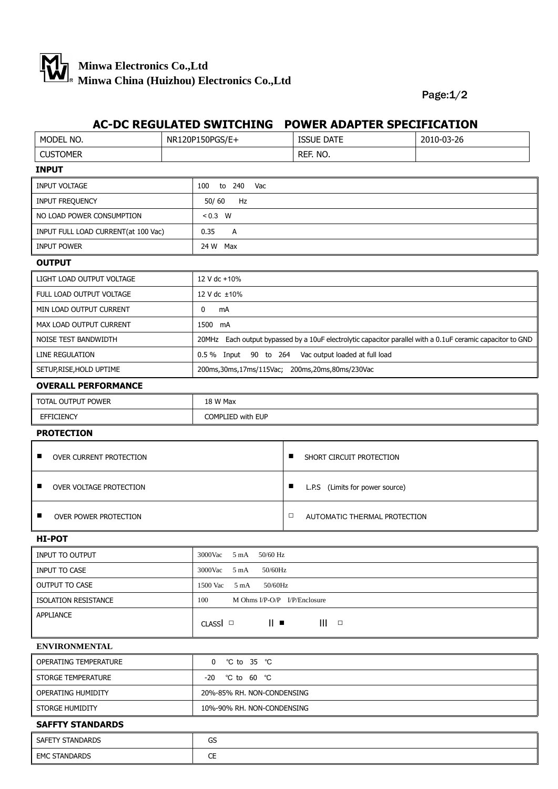

## Page:1/2

## **AC-DC REGULATED SWITCHING POWER ADAPTER SPECIFICATION**

| MODEL NO.                                                      | NR120P150PGS/E+          | <b>ISSUE DATE</b>                                                                                          | 2010-03-26 |  |  |
|----------------------------------------------------------------|--------------------------|------------------------------------------------------------------------------------------------------------|------------|--|--|
| <b>CUSTOMER</b>                                                |                          | REF. NO.                                                                                                   |            |  |  |
| <b>INPUT</b>                                                   |                          |                                                                                                            |            |  |  |
| <b>INPUT VOLTAGE</b><br>100<br>to 240<br>Vac                   |                          |                                                                                                            |            |  |  |
| INPUT FREQUENCY                                                | 50/60<br>Hz              |                                                                                                            |            |  |  |
| NO LOAD POWER CONSUMPTION                                      | $< 0.3$ W                |                                                                                                            |            |  |  |
| INPUT FULL LOAD CURRENT(at 100 Vac)                            | 0.35<br>Α                |                                                                                                            |            |  |  |
| <b>INPUT POWER</b>                                             | 24 W Max                 |                                                                                                            |            |  |  |
| <b>OUTPUT</b>                                                  |                          |                                                                                                            |            |  |  |
| LIGHT LOAD OUTPUT VOLTAGE                                      | 12 V dc +10%             |                                                                                                            |            |  |  |
| FULL LOAD OUTPUT VOLTAGE                                       | 12 V dc ±10%             |                                                                                                            |            |  |  |
| MIN LOAD OUTPUT CURRENT                                        | 0<br>mA                  |                                                                                                            |            |  |  |
| MAX LOAD OUTPUT CURRENT                                        | 1500 mA                  |                                                                                                            |            |  |  |
| NOISE TEST BANDWIDTH                                           |                          | 20MHz Each output bypassed by a 10uF electrolytic capacitor parallel with a 0.1uF ceramic capacitor to GND |            |  |  |
| LINE REGULATION                                                |                          | 0.5 % Input 90 to 264 Vac output loaded at full load                                                       |            |  |  |
| SETUP, RISE, HOLD UPTIME                                       |                          | 200ms, 30ms, 17ms/115Vac; 200ms, 20ms, 80ms/230Vac                                                         |            |  |  |
| <b>OVERALL PERFORMANCE</b>                                     |                          |                                                                                                            |            |  |  |
| TOTAL OUTPUT POWER                                             | 18 W Max                 |                                                                                                            |            |  |  |
| <b>EFFICIENCY</b>                                              | COMPLIED with EUP        |                                                                                                            |            |  |  |
| <b>PROTECTION</b>                                              |                          |                                                                                                            |            |  |  |
| ■<br>OVER CURRENT PROTECTION                                   |                          | п<br>SHORT CIRCUIT PROTECTION                                                                              |            |  |  |
| OVER VOLTAGE PROTECTION<br>ш                                   |                          | п<br>L.P.S (Limits for power source)                                                                       |            |  |  |
| п<br><b>OVER POWER PROTECTION</b>                              |                          | $\Box$<br>AUTOMATIC THERMAL PROTECTION                                                                     |            |  |  |
| <b>HI-POT</b>                                                  |                          |                                                                                                            |            |  |  |
| INPUT TO OUTPUT                                                | 3000Vac 5 mA<br>50/60 Hz |                                                                                                            |            |  |  |
| INPUT TO CASE<br>$3000$ Vac<br>$5 \text{ mA}$                  |                          | 50/60Hz                                                                                                    |            |  |  |
| $5 \text{ mA}$<br>50/60Hz<br><b>OUTPUT TO CASE</b><br>1500 Vac |                          |                                                                                                            |            |  |  |
| <b>ISOLATION RESISTANCE</b>                                    | 100                      | M Ohms I/P-O/P I/P/Enclosure                                                                               |            |  |  |
| APPLIANCE                                                      | $CLASSI$ $\Box$          | $   \cdot$<br>III<br>$\Box$                                                                                |            |  |  |
| <b>ENVIRONMENTAL</b>                                           |                          |                                                                                                            |            |  |  |
| <b>OPERATING TEMPERATURE</b><br>$\mathbf{0}$<br>°C to 35 °C    |                          |                                                                                                            |            |  |  |
| STORGE TEMPERATURE                                             | -20 °C to 60 °C          |                                                                                                            |            |  |  |
| OPERATING HUMIDITY                                             |                          | 20%-85% RH. NON-CONDENSING                                                                                 |            |  |  |
| STORGE HUMIDITY<br>10%-90% RH. NON-CONDENSING                  |                          |                                                                                                            |            |  |  |
| <b>SAFFTY STANDARDS</b>                                        |                          |                                                                                                            |            |  |  |
| SAFETY STANDARDS<br>GS                                         |                          |                                                                                                            |            |  |  |
| <b>EMC STANDARDS</b>                                           | CE                       |                                                                                                            |            |  |  |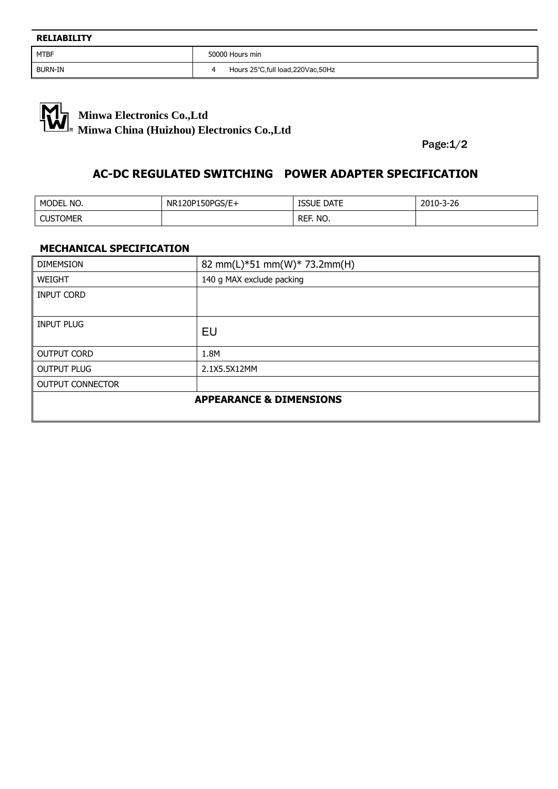$\overline{\phantom{a}}$ 

BURN-IN **BURN-IN** 4 Hours 25℃,full load,220Vac,50Hz



Page:1/2

## **AC-DC REGULATED SWITCHING POWER ADAPTER SPECIFICATION**

| MODEL NO.                        | NR120P150PGS/E+ | <b>ISSUE DATE</b> | 2010-3-26 |
|----------------------------------|-----------------|-------------------|-----------|
| <b>CUSTOMER</b><br>$\epsilon$ ic |                 | REF. NO.          |           |

## **MECHANICAL SPECIFICATION**

| <b>DIMEMSION</b>                   | 82 mm(L)*51 mm(W)* 73.2mm(H) |  |
|------------------------------------|------------------------------|--|
| <b>WEIGHT</b>                      | 140 g MAX exclude packing    |  |
| <b>INPUT CORD</b>                  |                              |  |
|                                    |                              |  |
| INPUT PLUG                         | EU                           |  |
| <b>OUTPUT CORD</b>                 | 1.8M                         |  |
| <b>OUTPUT PLUG</b>                 | 2.1X5.5X12MM                 |  |
| <b>OUTPUT CONNECTOR</b>            |                              |  |
| <b>APPEARANCE &amp; DIMENSIONS</b> |                              |  |
|                                    |                              |  |